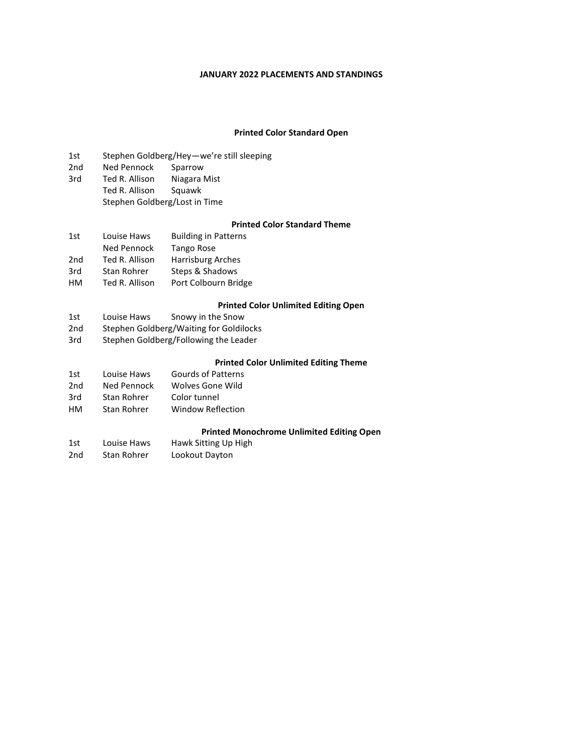#### **JANUARY 2022 PLACEMENTS AND STANDINGS**

#### **Printed Color Standard Open**

- 1st Stephen Goldberg/Hey—we're still sleeping<br>2nd Ned Pennock Sparrow
- Ned Pennock
- 3rd Ted R. Allison Niagara Mist Ted R. Allison Squawk Stephen Goldberg/Lost in Time

### **Printed Color Standard Theme**

| 1st             | Louise Haws    | <b>Building in Patterns</b> |
|-----------------|----------------|-----------------------------|
|                 | Ned Pennock    | Tango Rose                  |
| 2 <sub>nd</sub> | Ted R. Allison | <b>Harrisburg Arches</b>    |
| 3rd             | Stan Rohrer    | Steps & Shadows             |
| HМ              | Ted R. Allison | Port Colbourn Bridge        |

#### **Printed Color Unlimited Editing Open**

- 1st Louise Haws Snowy in the Snow
- 
- 2nd Stephen Goldberg/Waiting for Goldilocks<br>3rd Stephen Goldberg/Following the Leader Stephen Goldberg/Following the Leader

#### **Printed Color Unlimited Editing Theme**

| 1st | Louise Haws | <b>Gourds of Patterns</b> |
|-----|-------------|---------------------------|
| 2nd | Ned Pennock | Wolves Gone Wild          |
| 3rd | Stan Rohrer | Color tunnel              |
| HМ  | Stan Rohrer | <b>Window Reflection</b>  |

#### **Printed Monochrome Unlimited Editing Open**

| 1st | Louise Haws | Hawk Sitting Up High |
|-----|-------------|----------------------|
| 2nd | Stan Rohrer | Lookout Dayton       |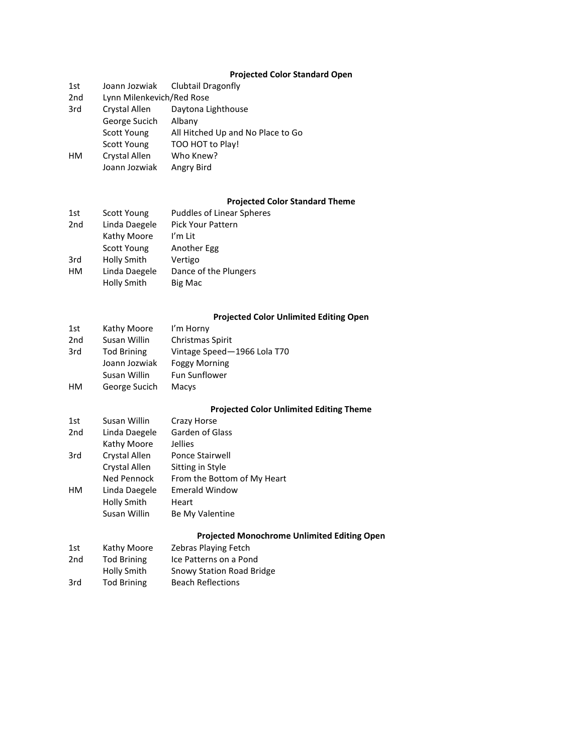# **Projected Color Standard Open**

| 1st |                           | Joann Jozwiak Clubtail Dragonfly  |
|-----|---------------------------|-----------------------------------|
| 2nd | Lynn Milenkevich/Red Rose |                                   |
| 3rd | Crystal Allen             | Daytona Lighthouse                |
|     | George Sucich             | Albany                            |
|     | <b>Scott Young</b>        | All Hitched Up and No Place to Go |
|     | <b>Scott Young</b>        | TOO HOT to Play!                  |
| HМ  | Crystal Allen             | Who Knew?                         |
|     | Joann Jozwiak             | Angry Bird                        |

## **Projected Color Standard Theme**

| 1st             | Scott Young   | <b>Puddles of Linear Spheres</b> |
|-----------------|---------------|----------------------------------|
| 2 <sub>nd</sub> | Linda Daegele | Pick Your Pattern                |
|                 | Kathy Moore   | I'm Lit                          |
|                 | Scott Young   | Another Egg                      |
| 3rd             | Holly Smith   | Vertigo                          |
| HМ              | Linda Daegele | Dance of the Plungers            |
|                 | Holly Smith   | Big Mac                          |

## **Projected Color Unlimited Editing Open**

| 1st             | Kathy Moore        | I'm Horny                   |
|-----------------|--------------------|-----------------------------|
| 2 <sub>nd</sub> | Susan Willin       | Christmas Spirit            |
| 3rd             | <b>Tod Brining</b> | Vintage Speed-1966 Lola T70 |
|                 | Joann Jozwiak      | <b>Foggy Morning</b>        |
|                 | Susan Willin       | <b>Fun Sunflower</b>        |
| HМ              | George Sucich      | Macys                       |

## **Projected Color Unlimited Editing Theme**

| 1st             | Susan Willin  | Crazy Horse                 |
|-----------------|---------------|-----------------------------|
| 2 <sub>nd</sub> | Linda Daegele | Garden of Glass             |
|                 | Kathy Moore   | Jellies                     |
| 3rd             | Crystal Allen | <b>Ponce Stairwell</b>      |
|                 | Crystal Allen | Sitting in Style            |
|                 | Ned Pennock   | From the Bottom of My Heart |
| HМ              | Linda Daegele | <b>Emerald Window</b>       |
|                 | Holly Smith   | Heart                       |
|                 | Susan Willin  | Be My Valentine             |
|                 |               |                             |

## **Projected Monochrome Unlimited Editing Open**

| 1st | Kathy Moore        | <b>Zebras Playing Fetch</b> |  |
|-----|--------------------|-----------------------------|--|
| 2nd | <b>Tod Brining</b> | Ice Patterns on a Pond      |  |
|     | Holly Smith        | Snowy Station Road Bridge   |  |
| 3rd | <b>Tod Brining</b> | <b>Beach Reflections</b>    |  |